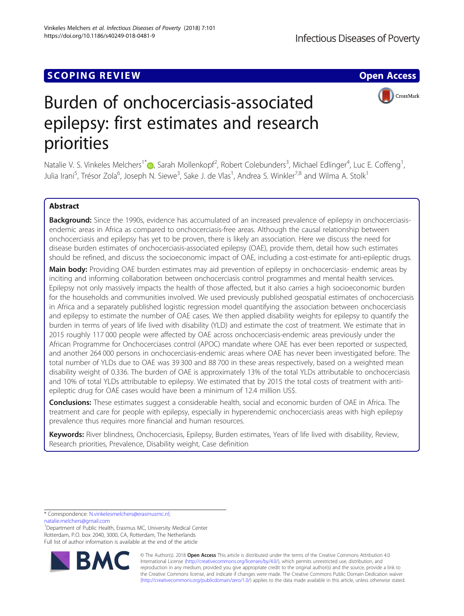# **SCOPING REVIEW CONTROL**

CrossMark



Natalie V. S. Vinkeles Melchers<sup>1\*</sup>id, Sarah Mollenkopf<sup>2</sup>, Robert Colebunders<sup>3</sup>, Michael Edlinger<sup>4</sup>, Luc E. Coffeng<sup>1</sup> , Julia Irani<sup>5</sup>, Trésor Zola<sup>6</sup>, Joseph N. Siewe<sup>3</sup>, Sake J. de Vlas<sup>1</sup>, Andrea S. Winkler<sup>7,8</sup> and Wilma A. Stolk<sup>1</sup>

## Abstract

Background: Since the 1990s, evidence has accumulated of an increased prevalence of epilepsy in onchocerciasisendemic areas in Africa as compared to onchocerciasis-free areas. Although the causal relationship between onchocerciasis and epilepsy has yet to be proven, there is likely an association. Here we discuss the need for disease burden estimates of onchocerciasis-associated epilepsy (OAE), provide them, detail how such estimates should be refined, and discuss the socioeconomic impact of OAE, including a cost-estimate for anti-epileptic drugs.

Main body: Providing OAE burden estimates may aid prevention of epilepsy in onchocerciasis- endemic areas by inciting and informing collaboration between onchocerciasis control programmes and mental health services. Epilepsy not only massively impacts the health of those affected, but it also carries a high socioeconomic burden for the households and communities involved. We used previously published geospatial estimates of onchocerciasis in Africa and a separately published logistic regression model quantifying the association between onchocerciasis and epilepsy to estimate the number of OAE cases. We then applied disability weights for epilepsy to quantify the burden in terms of years of life lived with disability (YLD) and estimate the cost of treatment. We estimate that in 2015 roughly 117 000 people were affected by OAE across onchocerciasis-endemic areas previously under the African Programme for Onchocerciases control (APOC) mandate where OAE has ever been reported or suspected, and another 264 000 persons in onchocerciasis-endemic areas where OAE has never been investigated before. The total number of YLDs due to OAE was 39 300 and 88 700 in these areas respectively, based on a weighted mean disability weight of 0.336. The burden of OAE is approximately 13% of the total YLDs attributable to onchocerciasis and 10% of total YLDs attributable to epilepsy. We estimated that by 2015 the total costs of treatment with antiepileptic drug for OAE cases would have been a minimum of 12.4 million US\$.

**Conclusions:** These estimates suggest a considerable health, social and economic burden of OAE in Africa. The treatment and care for people with epilepsy, especially in hyperendemic onchocerciasis areas with high epilepsy prevalence thus requires more financial and human resources.

Keywords: River blindness, Onchocerciasis, Epilepsy, Burden estimates, Years of life lived with disability, Review, Research priorities, Prevalence, Disability weight, Case definition

\* Correspondence: [N.vinkelesmelchers@erasmusmc.nl](mailto:N.vinkelesmelchers@erasmusmc.nl);

[natalie.melchers@gmail.com](mailto:natalie.melchers@gmail.com)

<sup>1</sup>Department of Public Health, Erasmus MC, University Medical Center Rotterdam, P.O. box 2040, 3000, CA, Rotterdam, The Netherlands Full list of author information is available at the end of the article



© The Author(s). 2018 **Open Access** This article is distributed under the terms of the Creative Commons Attribution 4.0 International License [\(http://creativecommons.org/licenses/by/4.0/](http://creativecommons.org/licenses/by/4.0/)), which permits unrestricted use, distribution, and reproduction in any medium, provided you give appropriate credit to the original author(s) and the source, provide a link to the Creative Commons license, and indicate if changes were made. The Creative Commons Public Domain Dedication waiver [\(http://creativecommons.org/publicdomain/zero/1.0/](http://creativecommons.org/publicdomain/zero/1.0/)) applies to the data made available in this article, unless otherwise stated.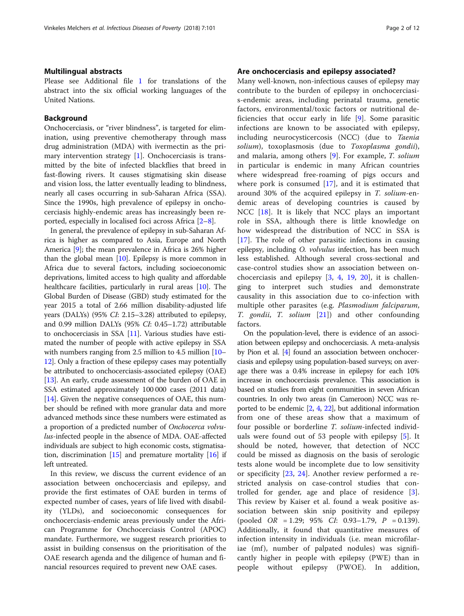## Multilingual abstracts

Please see Additional file [1](#page-9-0) for translations of the abstract into the six official working languages of the United Nations.

## **Background**

Onchocerciasis, or "river blindness", is targeted for elimination, using preventive chemotherapy through mass drug administration (MDA) with ivermectin as the primary intervention strategy [\[1](#page-10-0)]. Onchocerciasis is transmitted by the bite of infected blackflies that breed in fast-flowing rivers. It causes stigmatising skin disease and vision loss, the latter eventually leading to blindness, nearly all cases occurring in sub-Saharan Africa (SSA). Since the 1990s, high prevalence of epilepsy in onchocerciasis highly-endemic areas has increasingly been reported, especially in localised foci across Africa [\[2](#page-10-0)–[8\]](#page-10-0).

In general, the prevalence of epilepsy in sub-Saharan Africa is higher as compared to Asia, Europe and North America [\[9\]](#page-10-0); the mean prevalence in Africa is 26% higher than the global mean [\[10\]](#page-10-0). Epilepsy is more common in Africa due to several factors, including socioeconomic deprivations, limited access to high quality and affordable healthcare facilities, particularly in rural areas [\[10\]](#page-10-0). The Global Burden of Disease (GBD) study estimated for the year 2015 a total of 2.66 million disability-adjusted life years (DALYs) (95% CI: 2.15–3.28) attributed to epilepsy, and 0.99 million DALYs (95% CI: 0.45–1.72) attributable to onchocerciasis in SSA [[11](#page-10-0)]. Various studies have estimated the number of people with active epilepsy in SSA with numbers ranging from 2.5 million to 4.5 million [\[10](#page-10-0)– [12](#page-10-0)]. Only a fraction of these epilepsy cases may potentially be attributed to onchocerciasis-associated epilepsy (OAE) [[13](#page-10-0)]. An early, crude assessment of the burden of OAE in SSA estimated approximately 100 000 cases (2011 data) [[14](#page-10-0)]. Given the negative consequences of OAE, this number should be refined with more granular data and more advanced methods since these numbers were estimated as a proportion of a predicted number of Onchocerca volvulus-infected people in the absence of MDA. OAE-affected individuals are subject to high economic costs, stigmatisation, discrimination  $[15]$  $[15]$  $[15]$  and premature mortality  $[16]$  $[16]$  if left untreated.

In this review, we discuss the current evidence of an association between onchocerciasis and epilepsy, and provide the first estimates of OAE burden in terms of expected number of cases, years of life lived with disability (YLDs), and socioeconomic consequences for onchocerciasis-endemic areas previously under the African Programme for Onchocerciasis Control (APOC) mandate. Furthermore, we suggest research priorities to assist in building consensus on the prioritisation of the OAE research agenda and the diligence of human and financial resources required to prevent new OAE cases.

## Are onchocerciasis and epilepsy associated?

Many well-known, non-infectious causes of epilepsy may contribute to the burden of epilepsy in onchocerciasis-endemic areas, including perinatal trauma, genetic factors, environmental/toxic factors or nutritional deficiencies that occur early in life [\[9](#page-10-0)]. Some parasitic infections are known to be associated with epilepsy, including neurocysticercosis (NCC) (due to Taenia solium), toxoplasmosis (due to Toxoplasma gondii), and malaria, among others [\[9](#page-10-0)]. For example, T. solium in particular is endemic in many African countries where widespread free-roaming of pigs occurs and where pork is consumed  $[17]$  $[17]$  $[17]$ , and it is estimated that around 30% of the acquired epilepsy in T. solium-endemic areas of developing countries is caused by NCC [[18\]](#page-10-0). It is likely that NCC plays an important role in SSA, although there is little knowledge on how widespread the distribution of NCC in SSA is [[17\]](#page-10-0). The role of other parasitic infections in causing epilepsy, including O. volvulus infection, has been much less established. Although several cross-sectional and case-control studies show an association between onchocerciasis and epilepsy  $[3, 4, 19, 20]$  $[3, 4, 19, 20]$  $[3, 4, 19, 20]$  $[3, 4, 19, 20]$  $[3, 4, 19, 20]$  $[3, 4, 19, 20]$  $[3, 4, 19, 20]$ , it is challenging to interpret such studies and demonstrate causality in this association due to co-infection with multiple other parasites (e.g. Plasmodium falciparum, T. gondii, T. solium [[21\]](#page-10-0)) and other confounding factors.

On the population-level, there is evidence of an association between epilepsy and onchocerciasis. A meta-analysis by Pion et al. [\[4\]](#page-10-0) found an association between onchocerciasis and epilepsy using population-based surveys; on average there was a 0.4% increase in epilepsy for each 10% increase in onchocerciasis prevalence. This association is based on studies from eight communities in seven African countries. In only two areas (in Cameroon) NCC was reported to be endemic [\[2](#page-10-0), [4](#page-10-0), [22\]](#page-10-0), but additional information from one of these areas show that a maximum of four possible or borderline T. solium-infected individuals were found out of 53 people with epilepsy [\[5](#page-10-0)]. It should be noted, however, that detection of NCC could be missed as diagnosis on the basis of serologic tests alone would be incomplete due to low sensitivity or specificity [\[23](#page-10-0), [24](#page-10-0)]. Another review performed a restricted analysis on case-control studies that controlled for gender, age and place of residence [\[3](#page-10-0)]. This review by Kaiser et al. found a weak positive association between skin snip positivity and epilepsy  $(pooled \tOR = 1.29; 95\% \tCI: 0.93-1.79; P = 0.139).$ Additionally, it found that quantitative measures of infection intensity in individuals (i.e. mean microfilariae (mf), number of palpated nodules) was significantly higher in people with epilepsy (PWE) than in people without epilepsy (PWOE). In addition,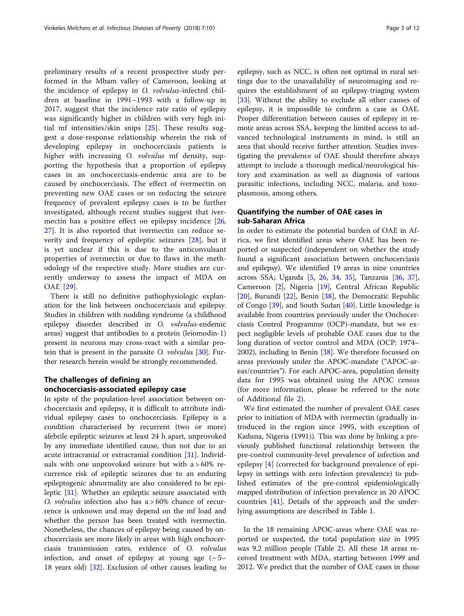preliminary results of a recent prospective study performed in the Mbam valley of Cameroon, looking at the incidence of epilepsy in O. volvulus-infected children at baseline in 1991–1993 with a follow-up in 2017, suggest that the incidence rate ratio of epilepsy was significantly higher in children with very high initial mf intensities/skin snips [\[25](#page-10-0)]. These results suggest a dose-response relationship wherein the risk of developing epilepsy in onchocerciasis patients is higher with increasing O. volvulus mf density, supporting the hypothesis that a proportion of epilepsy cases in an onchocerciasis-endemic area are to be caused by onchocerciasis. The effect of ivermectin on preventing new OAE cases or on reducing the seizure frequency of prevalent epilepsy cases is to be further investigated, although recent studies suggest that ivermectin has a positive effect on epilepsy incidence [\[26](#page-10-0), [27\]](#page-10-0). It is also reported that ivermectin can reduce severity and frequency of epileptic seizures [\[28](#page-10-0)], but it is yet unclear if this is due to the anticonvulsant properties of ivermectin or due to flaws in the methodology of the respective study. More studies are currently underway to assess the impact of MDA on OAE [\[29](#page-10-0)].

There is still no definitive pathophysiologic explanation for the link between onchocerciasis and epilepsy. Studies in children with nodding syndrome (a childhood epilepsy disorder described in O. volvulus-endemic areas) suggest that antibodies to a protein (leiomodin-1) present in neurons may cross-react with a similar protein that is present in the parasite O. *volvulus* [\[30](#page-11-0)]. Further research herein would be strongly recommended.

## The challenges of defining an onchocerciasis-associated epilepsy case

In spite of the population-level association between onchocerciasis and epilepsy, it is difficult to attribute individual epilepsy cases to onchocerciasis. Epilepsy is a condition characterised by recurrent (two or more) afebrile epileptic seizures at least 24 h apart, unprovoked by any immediate identified cause, thus not due to an acute intracranial or extracranial condition [[31\]](#page-11-0). Individuals with one unprovoked seizure but with a > 60% recurrence risk of epileptic seizures due to an enduring epileptogenic abnormality are also considered to be epileptic [[31\]](#page-11-0). Whether an epileptic seizure associated with O. volvulus infection also has a > 60% chance of recurrence is unknown and may depend on the mf load and whether the person has been treated with ivermectin. Nonetheless, the chances of epilepsy being caused by onchocerciasis are more likely in areas with high onchocerciasis transmission rates, evidence of O. volvulus infection, and onset of epilepsy at young age  $(\sim 5-$ 18 years old) [[32](#page-11-0)]. Exclusion of other causes leading to epilepsy, such as NCC, is often not optimal in rural settings due to the unavailability of neuroimaging and requires the establishment of an epilepsy-triaging system [[33\]](#page-11-0). Without the ability to exclude all other causes of epilepsy, it is impossible to confirm a case as OAE. Proper differentiation between causes of epilepsy in remote areas across SSA, keeping the limited access to advanced technological instruments in mind, is still an area that should receive further attention. Studies investigating the prevalence of OAE should therefore always attempt to include a thorough medical/neurological history and examination as well as diagnosis of various parasitic infections, including NCC, malaria, and toxoplasmosis, among others.

## Quantifying the number of OAE cases in sub-Saharan Africa

In order to estimate the potential burden of OAE in Africa, we first identified areas where OAE has been reported or suspected (independent on whether the study found a significant association between onchocerciasis and epilepsy). We identified 19 areas in nine countries across SSA; Uganda [[5,](#page-10-0) [26](#page-10-0), [34,](#page-11-0) [35\]](#page-11-0), Tanzania [[36,](#page-11-0) [37](#page-11-0)], Cameroon [\[2](#page-10-0)], Nigeria [[19](#page-10-0)], Central African Republic [[20\]](#page-10-0), Burundi [[22\]](#page-10-0), Benin [\[38](#page-11-0)], the Democratic Republic of Congo [[39\]](#page-11-0), and South Sudan [\[40](#page-11-0)]. Little knowledge is available from countries previously under the Onchocerciasis Control Programme (OCP)-mandate, but we expect negligible levels of probable OAE cases due to the long duration of vector control and MDA (OCP: 1974– 2002), including in Benin [[38](#page-11-0)]. We therefore focussed on areas previously under the APOC-mandate ("APOC-areas/countries"). For each APOC-area, population density data for 1995 was obtained using the APOC census (for more information, please be referred to the note of Additional file [2](#page-9-0)).

We first estimated the number of prevalent OAE cases prior to initiation of MDA with ivermectin (gradually introduced in the region since 1995, with exception of Kaduna, Nigeria (1991)). This was done by linking a previously published functional relationship between the pre-control community-level prevalence of infection and epilepsy [\[4](#page-10-0)] (corrected for background prevalence of epilepsy in settings with zero infection prevalence) to published estimates of the pre-control epidemiologically mapped distribution of infection prevalence in 20 APOC countries [\[41](#page-11-0)]. Details of the approach and the underlying assumptions are described in Table [1](#page-3-0).

In the 18 remaining APOC-areas where OAE was reported or suspected, the total population size in 1995 was 9.2 million people (Table [2\)](#page-5-0). All these 18 areas received treatment with MDA, starting between 1999 and 2012. We predict that the number of OAE cases in those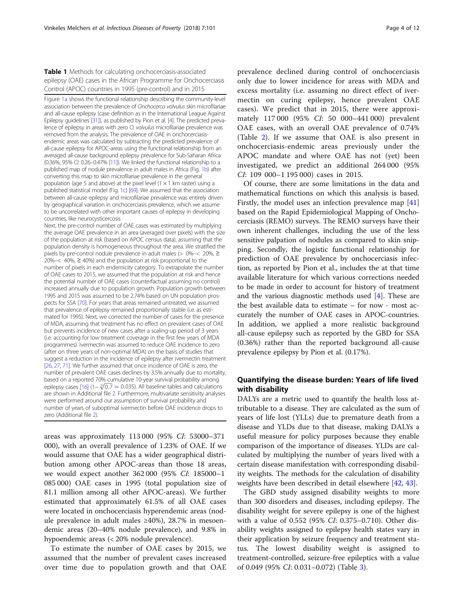<span id="page-3-0"></span>Table 1 Methods for calculating onchocerciasis-associated epilepsy (OAE) cases in the African Programme for Onchocerciasis Control (APOC) countries in 1995 (pre-control) and in 2015

Figure [1a](#page-5-0) shows the functional relationship describing the community-level association between the prevalence of Onchocerca volvulus skin microfilariae and all-cause epilepsy (case definition as in the International League Against Epilepsy guidelines [[31\]](#page-11-0)), as published by Pion et al. [\[4](#page-10-0)]. The predicted prevalence of epilepsy in areas with zero O. volvulus microfilariae prevalence was removed from the analysis. The prevalence of OAE in onchocerciasisendemic areas was calculated by subtracting the predicted prevalence of all-cause epilepsy for APOC-areas using the functional relationship from an averaged all-cause background epilepsy prevalence for Sub-Saharan Africa (0.36%, 95% CI: 0.26–0.47% [[11](#page-10-0)]). We linked the functional relationship to a published map of nodule prevalence in adult males in Africa (Fig. [1b](#page-5-0)) after converting this map to skin microfilariae prevalence in the general population (age 5 and above) at the pixel level  $(1 \times 1$  km raster) using a published statistical model (Fig. [1c](#page-5-0)) [\[69\]](#page-11-0). We assumed that the association between all-cause epilepsy and microfilariae prevalence was entirely driven by geographical variation in onchocerciasis prevalence, which we assume to be uncorrelated with other important causes of epilepsy in developing countries, like neurocysticercosis

Next, the pre-control number of OAE cases was estimated by multiplying the average OAE prevalence in an area (averaged over pixels) with the size of the population at risk (based on APOC census data), assuming that the population density is homogeneous throughout the area. We stratified the pixels by pre-control nodule prevalence in adult males (> 0%–< 20%, ≥ 20%–< 40%, ≥ 40%) and the population at risk proportional to the number of pixels in each endemicity category. To extrapolate the number of OAE cases to 2015, we assumed that the population at risk and hence the potential number of OAE cases (counterfactual assuming no control) increased annually due to population growth. Population growth between 1995 and 2015 was assumed to be 2.74% based on UN population prospects for SSA [[70](#page-11-0)]. For years that areas remained untreated, we assumed that prevalence of epilepsy remained proportionally stable (i.e. as estimated for 1995). Next, we corrected the number of cases for the presence of MDA, assuming that treatment has no effect on prevalent cases of OAE but prevents incidence of new cases after a scaling-up period of 3 years (i.e. accounting for low treatment coverage in the first few years of MDA programmes). Ivermectin was assumed to reduce OAE incidence to zero (after on three years of non-optimal MDA) on the basis of studies that suggest a reduction in the incidence of epilepsy after ivermectin treatment [[26](#page-10-0), [27,](#page-10-0) [71\]](#page-11-0). We further assumed that once incidence of OAE is zero, the number of prevalent OAE cases declines by 3.5% annually due to mortality, based on a reported 70% cumulative 10-year survival probability among based on a reported 70% cumulative 10-year survival probability among<br>epilepsy cases [[16\]](#page-10-0) (1−  $\sqrt[10]{0.7} = 0.035$ ). All baseline tables and calculations are shown in Additional file [2.](#page-9-0) Furthermore, multivariate sensitivity analyses were performed around our assumption of survival probability and number of years of suboptimal ivermectin before OAE incidence drops to zero (Additional file [2\)](#page-9-0).

areas was approximately 113 000 (95% CI: 53000–371 000), with an overall prevalence of 1.23% of OAE. If we would assume that OAE has a wider geographical distribution among other APOC-areas than those 18 areas, we would expect another 362 000 (95% CI: 185000–1 085 000) OAE cases in 1995 (total population size of 81.1 million among all other APOC-areas). We further estimated that approximately 61.5% of all OAE cases were located in onchocerciasis hyperendemic areas (nodule prevalence in adult males ≥40%), 28.7% in mesoendemic areas (20–40% nodule prevalence), and 9.8% in hypoendemic areas (< 20% nodule prevalence).

To estimate the number of OAE cases by 2015, we assumed that the number of prevalent cases increased over time due to population growth and that OAE

prevalence declined during control of onchocerciasis only due to lower incidence for areas with MDA and excess mortality (i.e. assuming no direct effect of ivermectin on curing epilepsy, hence prevalent OAE cases). We predict that in 2015, there were approximately 117 000 (95% CI: 50 000–441 000) prevalent OAE cases, with an overall OAE prevalence of 0.74% (Table [2\)](#page-5-0). If we assume that OAE is also present in onchocerciasis-endemic areas previously under the APOC mandate and where OAE has not (yet) been investigated, we predict an additional 264 000 (95% CI: 109 000–1 195 000) cases in 2015.

Of course, there are some limitations in the data and mathematical functions on which this analysis is based. Firstly, the model uses an infection prevalence map [[41](#page-11-0)] based on the Rapid Epidemiological Mapping of Onchocerciasis (REMO) surveys. The REMO surveys have their own inherent challenges, including the use of the less sensitive palpation of nodules as compared to skin snipping. Secondly, the logistic functional relationship for prediction of OAE prevalence by onchocerciasis infection, as reported by Pion et al., includes the at that time available literature for which various corrections needed to be made in order to account for history of treatment and the various diagnostic methods used [[4\]](#page-10-0). These are the best available data to estimate – for now - most accurately the number of OAE cases in APOC-countries. In addition, we applied a more realistic background all-cause epilepsy such as reported by the GBD for SSA (0.36%) rather than the reported background all-cause prevalence epilepsy by Pion et al. (0.17%).

## Quantifying the disease burden: Years of life lived with disability

DALYs are a metric used to quantify the health loss attributable to a disease. They are calculated as the sum of years of life lost (YLLs) due to premature death from a disease and YLDs due to that disease, making DALYs a useful measure for policy purposes because they enable comparison of the importance of diseases. YLDs are calculated by multiplying the number of years lived with a certain disease manifestation with corresponding disability weights. The methods for the calculation of disability weights have been described in detail elsewhere [[42,](#page-11-0) [43\]](#page-11-0).

The GBD study assigned disability weights to more than 300 disorders and diseases, including epilepsy. The disability weight for severe epilepsy is one of the highest with a value of 0.552 (95% CI: 0.375–0.710). Other disability weights assigned to epilepsy health states vary in their application by seizure frequency and treatment status. The lowest disability weight is assigned to treatment-controlled, seizure-free epileptics with a value of 0.049 (95% CI: 0.031–0.072) (Table [3\)](#page-6-0).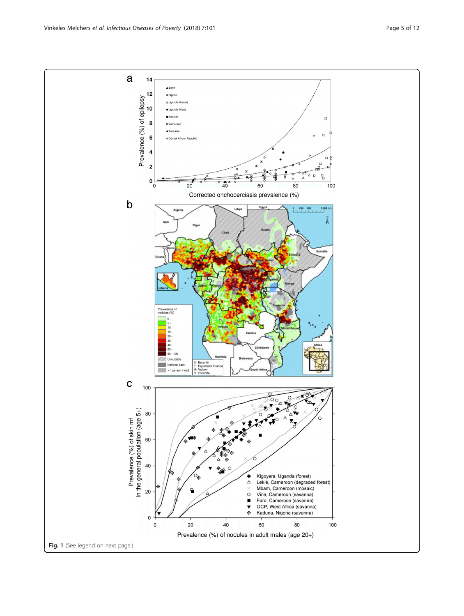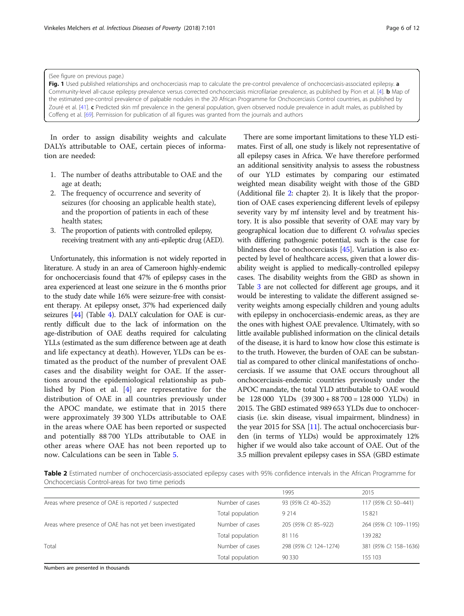Fig. 1 Used published relationships and onchocerciasis map to calculate the pre-control prevalence of onchocerciasis-associated epilepsy. a Community-level all-cause epilepsy prevalence versus corrected onchocerciasis microfilariae prevalence, as published by Pion et al. [\[4](#page-10-0)]. **b** Map of the estimated pre-control prevalence of palpable nodules in the 20 African Programme for Onchocerciasis Control countries, as published by Zouré et al. [[41](#page-11-0)]. c Predicted skin mf prevalence in the general population, given observed nodule prevalence in adult males, as published by Coffeng et al. [\[69\]](#page-11-0). Permission for publication of all figures was granted from the journals and authors

In order to assign disability weights and calculate DALYs attributable to OAE, certain pieces of information are needed:

- 1. The number of deaths attributable to OAE and the age at death;
- 2. The frequency of occurrence and severity of seizures (for choosing an applicable health state), and the proportion of patients in each of these health states;
- 3. The proportion of patients with controlled epilepsy, receiving treatment with any anti-epileptic drug (AED).

Unfortunately, this information is not widely reported in literature. A study in an area of Cameroon highly-endemic for onchocerciasis found that 47% of epilepsy cases in the area experienced at least one seizure in the 6 months prior to the study date while 16% were seizure-free with consistent therapy. At epilepsy onset, 37% had experienced daily seizures [\[44\]](#page-11-0) (Table [4\)](#page-6-0). DALY calculation for OAE is currently difficult due to the lack of information on the age-distribution of OAE deaths required for calculating YLLs (estimated as the sum difference between age at death and life expectancy at death). However, YLDs can be estimated as the product of the number of prevalent OAE cases and the disability weight for OAE. If the assertions around the epidemiological relationship as published by Pion et al. [\[4](#page-10-0)] are representative for the distribution of OAE in all countries previously under the APOC mandate, we estimate that in 2015 there were approximately 39 300 YLDs attributable to OAE in the areas where OAE has been reported or suspected and potentially 88 700 YLDs attributable to OAE in other areas where OAE has not been reported up to now. Calculations can be seen in Table [5.](#page-7-0)

There are some important limitations to these YLD estimates. First of all, one study is likely not representative of all epilepsy cases in Africa. We have therefore performed an additional sensitivity analysis to assess the robustness of our YLD estimates by comparing our estimated weighted mean disability weight with those of the GBD (Additional file [2](#page-9-0): chapter 2). It is likely that the proportion of OAE cases experiencing different levels of epilepsy severity vary by mf intensity level and by treatment history. It is also possible that severity of OAE may vary by geographical location due to different O. volvulus species with differing pathogenic potential, such is the case for blindness due to onchocerciasis [[45](#page-11-0)]. Variation is also expected by level of healthcare access, given that a lower disability weight is applied to medically-controlled epilepsy cases. The disability weights from the GBD as shown in Table [3](#page-6-0) are not collected for different age groups, and it would be interesting to validate the different assigned severity weights among especially children and young adults with epilepsy in onchocerciasis-endemic areas, as they are the ones with highest OAE prevalence. Ultimately, with so little available published information on the clinical details of the disease, it is hard to know how close this estimate is to the truth. However, the burden of OAE can be substantial as compared to other clinical manifestations of onchocerciasis. If we assume that OAE occurs throughout all onchocerciasis-endemic countries previously under the APOC mandate, the total YLD attributable to OAE would be  $128000$  YLDs  $(39300 + 88700 = 128000$  YLDs) in 2015. The GBD estimated 989 653 YLDs due to onchocerciasis (i.e. skin disease, visual impairment, blindness) in the year 2015 for SSA  $[11]$ . The actual onchocerciasis burden (in terms of YLDs) would be approximately 12% higher if we would also take account of OAE. Out of the 3.5 million prevalent epilepsy cases in SSA (GBD estimate

Table 2 Estimated number of onchocerciasis-associated epilepsy cases with 95% confidence intervals in the African Programme for Onchocerciasis Control-areas for two time periods

|                                                           |                  | 1995                   | 2015                   |
|-----------------------------------------------------------|------------------|------------------------|------------------------|
| Areas where presence of OAE is reported / suspected       | Number of cases  | 93 (95% CI: 40-352)    | 117 (95% CI: 50-441)   |
|                                                           | Total population | 9 2 1 4                | 15821                  |
| Areas where presence of OAE has not yet been investigated | Number of cases  | 205 (95% CI: 85-922)   | 264 (95% CI: 109-1195) |
|                                                           | Total population | 81 1 16                | 139 282                |
| Total                                                     | Number of cases  | 298 (95% CI: 124-1274) | 381 (95% CI: 158-1636) |
|                                                           | Total population | 90 3 30                | 155 103                |

Numbers are presented in thousands

<span id="page-5-0"></span>(See figure on previous page.)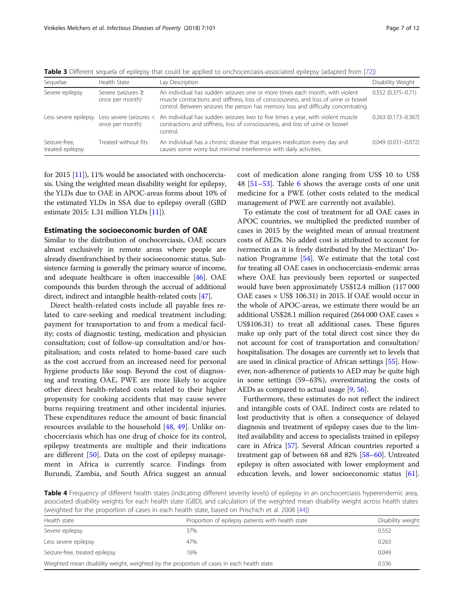<span id="page-6-0"></span>Table 3 Different sequela of epilepsy that could be applied to onchocerciasis-associated epilepsy (adapted from [\[72](#page-11-0)])

| Sequelae                          | Health State                               | Lay Description                                                                                                                                                                                                                                            | Disability Weight      |
|-----------------------------------|--------------------------------------------|------------------------------------------------------------------------------------------------------------------------------------------------------------------------------------------------------------------------------------------------------------|------------------------|
| Severe epilepsy                   | Severe (seizures $\geq$<br>once per month) | An individual has sudden seizures one or more times each month, with violent<br>muscle contractions and stiffness, loss of consciousness, and loss of urine or bowel<br>control. Between seizures the person has memory loss and difficulty concentrating. | $0.552(0.375 - 0.71)$  |
| Less severe epilepsy              | Less severe (seizures <<br>once per month) | An individual has sudden seizures two to five times a year, with violent muscle<br>contractions and stiffness, loss of consciousness, and loss of urine or bowel<br>control.                                                                               | $0.263$ (0.173-0.367)  |
| Seizure-free,<br>treated epilepsy | Treated without fits                       | An individual has a chronic disease that requires medication every day and<br>causes some worry but minimal interference with daily activities.                                                                                                            | $0.049(0.031 - 0.072)$ |

for 2015 [\[11\]](#page-10-0)), 11% would be associated with onchocerciasis. Using the weighted mean disability weight for epilepsy, the YLDs due to OAE in APOC-areas forms about 10% of the estimated YLDs in SSA due to epilepsy overall (GBD estimate 2015: 1.31 million YLDs [[11](#page-10-0)]).

### Estimating the socioeconomic burden of OAE

Similar to the distribution of onchocerciasis, OAE occurs almost exclusively in remote areas where people are already disenfranchised by their socioeconomic status. Subsistence farming is generally the primary source of income, and adequate healthcare is often inaccessible [\[46\]](#page-11-0). OAE compounds this burden through the accrual of additional direct, indirect and intangible health-related costs [\[47\]](#page-11-0).

Direct health-related costs include all payable fees related to care-seeking and medical treatment including: payment for transportation to and from a medical facility; costs of diagnostic testing, medication and physician consultation; cost of follow-up consultation and/or hospitalisation; and costs related to home-based care such as the cost accrued from an increased need for personal hygiene products like soap. Beyond the cost of diagnosing and treating OAE, PWE are more likely to acquire other direct health-related costs related to their higher propensity for cooking accidents that may cause severe burns requiring treatment and other incidental injuries. These expenditures reduce the amount of basic financial resources available to the household [[48](#page-11-0), [49\]](#page-11-0). Unlike onchocerciasis which has one drug of choice for its control, epilepsy treatments are multiple and their indications are different [\[50](#page-11-0)]. Data on the cost of epilepsy management in Africa is currently scarce. Findings from Burundi, Zambia, and South Africa suggest an annual cost of medication alone ranging from US\$ 10 to US\$ 48 [\[51](#page-11-0)–[53\]](#page-11-0). Table [6](#page-7-0) shows the average costs of one unit medicine for a PWE (other costs related to the medical management of PWE are currently not available).

To estimate the cost of treatment for all OAE cases in APOC countries, we multiplied the predicted number of cases in 2015 by the weighted mean of annual treatment costs of AEDs. No added cost is attributed to account for ivermectin as it is freely distributed by the Mectizan® Donation Programme [[54](#page-11-0)]. We estimate that the total cost for treating all OAE cases in onchocerciasis-endemic areas where OAE has previously been reported or suspected would have been approximately US\$12.4 million (117 000 OAE cases  $\times$  US\$ 106.31) in 2015. If OAE would occur in the whole of APOC-areas, we estimate there would be an additional US\$28.1 million required (264 000 OAE cases × US\$106.31) to treat all additional cases. These figures make up only part of the total direct cost since they do not account for cost of transportation and consultation/ hospitalisation. The dosages are currently set to levels that are used in clinical practice of African settings [[55\]](#page-11-0). However, non-adherence of patients to AED may be quite high in some settings (59–63%), overestimating the costs of AEDs as compared to actual usage [[9](#page-10-0), [56\]](#page-11-0).

Furthermore, these estimates do not reflect the indirect and intangible costs of OAE. Indirect costs are related to lost productivity that is often a consequence of delayed diagnosis and treatment of epilepsy cases due to the limited availability and access to specialists trained in epilepsy care in Africa [\[57\]](#page-11-0). Several African countries reported a treatment gap of between 68 and 82% [[58](#page-11-0)–[60\]](#page-11-0). Untreated epilepsy is often associated with lower employment and education levels, and lower socioeconomic status [[61](#page-11-0)].

Table 4 Frequency of different health states (indicating different severity levels) of epilepsy in an onchocerciasis hyperendemic area, associated disability weights for each health state (GBD), and calculation of the weighted mean disability weight across health states (weighted for the proportion of cases in each health state, based on Prischich et al. 2008 [[44](#page-11-0)])

| Health state                                                                              | Proportion of epilepsy patients with health state | Disability weight |
|-------------------------------------------------------------------------------------------|---------------------------------------------------|-------------------|
| Severe epilepsy                                                                           | 37%                                               | 0.552             |
| Less severe epilepsy                                                                      | 47%                                               | 0.263             |
| Seizure-free, treated epilepsy                                                            | 16%                                               | 0.049             |
| Weighted mean disability weight, weighted by the proportion of cases in each health state |                                                   |                   |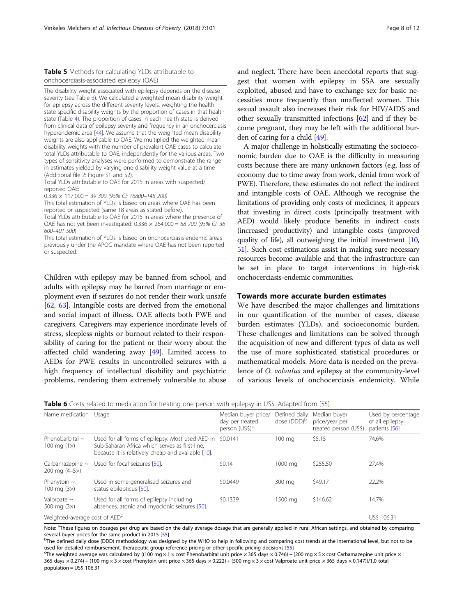### <span id="page-7-0"></span>Table 5 Methods for calculating YLDs attributable to onchocerciasis-associated epilepsy (OAE)

The disability weight associated with epilepsy depends on the disease severity (see Table [3](#page-6-0)). We calculated a weighted mean disability weight for epilepsy across the different severity levels, weighting the health state-specific disability weights by the proportion of cases in that health state (Table [4\)](#page-6-0). The proportion of cases in each health state is derived from clinical data of epilepsy severity and frequency in an onchocerciasis hyperendemic area [[44\]](#page-11-0). We assume that the weighted mean disability weights are also applicable to OAE. We multiplied the weighted mean disability weights with the number of prevalent OAE cases to calculate total YLDs attributable to OAE, independently for the various areas. Two types of sensitivity analyses were performed to demonstrate the range in estimates yielded by varying one disability weight value at a time (Additional file [2](#page-9-0): Figure S1 and S2).

Total YLDs attributable to OAE for 2015 in areas with suspected/ reported OAE:

 $0.336 \times 117000 = 39300(95\% \text{ C}1: 16800 - 148200)$ 

This total estimation of YLDs is based on areas where OAE has been reported or suspected (same 18 areas as stated before).

Total YLDs attributable to OAE for 2015 in areas where the presence of OAE has not yet been investigated:  $0.336 \times 264\,000 = 88\,700$  (95% Cl: 36 600–401 500)

This total estimation of YLDs is based on onchocerciasis-endemic areas previously under the APOC mandate where OAE has not been reported or suspected.

Children with epilepsy may be banned from school, and adults with epilepsy may be barred from marriage or employment even if seizures do not render their work unsafe [[62](#page-11-0), [63\]](#page-11-0). Intangible costs are derived from the emotional and social impact of illness. OAE affects both PWE and caregivers. Caregivers may experience inordinate levels of stress, sleepless nights or burnout related to their responsibility of caring for the patient or their worry about the affected child wandering away [[49](#page-11-0)]. Limited access to AEDs for PWE results in uncontrolled seizures with a high frequency of intellectual disability and psychiatric problems, rendering them extremely vulnerable to abuse

and neglect. There have been anecdotal reports that suggest that women with epilepsy in SSA are sexually exploited, abused and have to exchange sex for basic necessities more frequently than unaffected women. This sexual assault also increases their risk for HIV/AIDS and other sexually transmitted infections [[62](#page-11-0)] and if they become pregnant, they may be left with the additional burden of caring for a child [\[49\]](#page-11-0).

A major challenge in holistically estimating the socioeconomic burden due to OAE is the difficulty in measuring costs because there are many unknown factors (e.g. loss of economy due to time away from work, denial from work of PWE). Therefore, these estimates do not reflect the indirect and intangible costs of OAE. Although we recognise the limitations of providing only costs of medicines, it appears that investing in direct costs (principally treatment with AED) would likely produce benefits in indirect costs (increased productivity) and intangible costs (improved quality of life), all outweighing the initial investment [\[10](#page-10-0), [51](#page-11-0)]. Such cost estimations assist in making sure necessary resources become available and that the infrastructure can be set in place to target interventions in high-risk onchocerciasis-endemic communities.

## Towards more accurate burden estimates

We have described the major challenges and limitations in our quantification of the number of cases, disease burden estimates (YLDs), and socioeconomic burden. These challenges and limitations can be solved through the acquisition of new and different types of data as well the use of more sophisticated statistical procedures or mathematical models. More data is needed on the prevalence of O. volvulus and epilepsy at the community-level of various levels of onchocerciasis endemicity. While

Table 6 Costs related to medication for treating one person with epilepsy in US\$. Adapted from [\[55](#page-11-0)]

| Name medication Usage                     |                                                                                                                                                                   | Median buyer price/<br>day per treated<br>person (US\$) <sup>a</sup> | Defined daily<br>dose (DDD) <sup>p</sup> | Median buyer<br>price/year per<br>treated person (US\$) | Used by percentage<br>of all epilepsy<br>patients [56] |
|-------------------------------------------|-------------------------------------------------------------------------------------------------------------------------------------------------------------------|----------------------------------------------------------------------|------------------------------------------|---------------------------------------------------------|--------------------------------------------------------|
| Phenobarbital $\sim$<br>100 mg $(1x)$     | Used for all forms of epilepsy. Most used AED in \$0.0141<br>Sub-Saharan Africa which serves as first-line.<br>because it is relatively cheap and available [10]. |                                                                      | 100 ma                                   | \$5.15                                                  | 74.6%                                                  |
| Carbamazepine $\sim$<br>200 mg $(4-5x)$   | Used for focal seizures [50].                                                                                                                                     | \$0.14                                                               | 1000 mg                                  | \$255.50                                                | 27.4%                                                  |
| Phenytoin $\sim$<br>100 mg $(3x)$         | Used in some generalised seizures and<br>status epilepticus [50].                                                                                                 | \$0.0449                                                             | 300 mg                                   | \$49.17                                                 | 22.2%                                                  |
| Valproate $\sim$<br>500 mg $(3x)$         | Used for all forms of epilepsy including<br>absences, atonic and myoclonic seizures [50].                                                                         | \$0.1339                                                             | 1500 ma                                  | \$146.62                                                | 14.7%                                                  |
| Weighted-average cost of AED <sup>c</sup> |                                                                                                                                                                   |                                                                      |                                          |                                                         |                                                        |

Note: <sup>a</sup>These figures on dosages per drug are based on the daily average dosage that are generally applied in rural African settings, and obtained by comparing several buyer prices for the same product in 2015 [\[55](#page-11-0)]

<sup>b</sup>The defined daily dose (DDD) methodology was designed by the WHO to help in following and comparing cost trends at the international level, but not to be used for detailed reimbursement, therapeutic group reference pricing or other specific pricing decisions [\[55](#page-11-0)]

The weighted average was calculated by ((100 mg  $\times$  1  $\times$  cost Phenobarbital unit price  $\times$  365 days  $\times$  0.746) + (200 mg  $\times$  5  $\times$  cost Carbamazepine unit price  $\times$ 365 days × 0.274) + (100 mg × 3 × cost Phenytoin unit price × 365 days × 0.222) + (500 mg × 3 × cost Valproate unit price × 365 days × 0.147))/1.0 total population = US\$ 106.31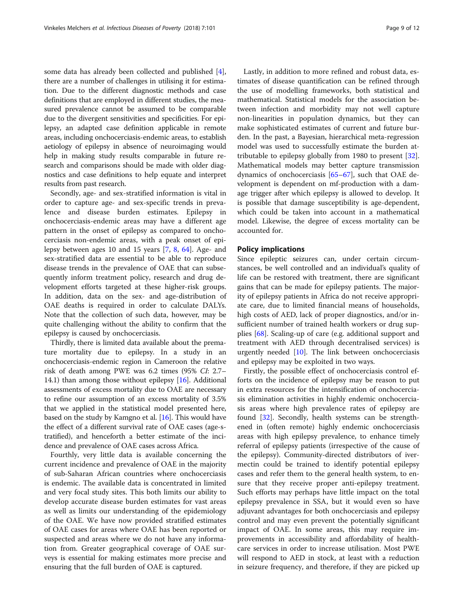some data has already been collected and published [\[4](#page-10-0)], there are a number of challenges in utilising it for estimation. Due to the different diagnostic methods and case definitions that are employed in different studies, the measured prevalence cannot be assumed to be comparable due to the divergent sensitivities and specificities. For epilepsy, an adapted case definition applicable in remote areas, including onchocerciasis-endemic areas, to establish aetiology of epilepsy in absence of neuroimaging would help in making study results comparable in future research and comparisons should be made with older diagnostics and case definitions to help equate and interpret results from past research.

Secondly, age- and sex-stratified information is vital in order to capture age- and sex-specific trends in prevalence and disease burden estimates. Epilepsy in onchocerciasis-endemic areas may have a different age pattern in the onset of epilepsy as compared to onchocerciasis non-endemic areas, with a peak onset of epilepsy between ages 10 and 15 years [\[7,](#page-10-0) [8,](#page-10-0) [64](#page-11-0)]. Age- and sex-stratified data are essential to be able to reproduce disease trends in the prevalence of OAE that can subsequently inform treatment policy, research and drug development efforts targeted at these higher-risk groups. In addition, data on the sex- and age-distribution of OAE deaths is required in order to calculate DALYs. Note that the collection of such data, however, may be quite challenging without the ability to confirm that the epilepsy is caused by onchocerciasis.

Thirdly, there is limited data available about the premature mortality due to epilepsy. In a study in an onchocerciasis-endemic region in Cameroon the relative risk of death among PWE was 6.2 times (95% CI: 2.7– 14.1) than among those without epilepsy  $[16]$  $[16]$ . Additional assessments of excess mortality due to OAE are necessary to refine our assumption of an excess mortality of 3.5% that we applied in the statistical model presented here, based on the study by Kamgno et al. [\[16\]](#page-10-0). This would have the effect of a different survival rate of OAE cases (age-stratified), and henceforth a better estimate of the incidence and prevalence of OAE cases across Africa.

Fourthly, very little data is available concerning the current incidence and prevalence of OAE in the majority of sub-Saharan African countries where onchocerciasis is endemic. The available data is concentrated in limited and very focal study sites. This both limits our ability to develop accurate disease burden estimates for vast areas as well as limits our understanding of the epidemiology of the OAE. We have now provided stratified estimates of OAE cases for areas where OAE has been reported or suspected and areas where we do not have any information from. Greater geographical coverage of OAE surveys is essential for making estimates more precise and ensuring that the full burden of OAE is captured.

Lastly, in addition to more refined and robust data, estimates of disease quantification can be refined through the use of modelling frameworks, both statistical and mathematical. Statistical models for the association between infection and morbidity may not well capture non-linearities in population dynamics, but they can make sophisticated estimates of current and future burden. In the past, a Bayesian, hierarchical meta-regression model was used to successfully estimate the burden attributable to epilepsy globally from 1980 to present [\[32](#page-11-0)]. Mathematical models may better capture transmission dynamics of onchocerciasis [[65](#page-11-0)–[67](#page-11-0)], such that OAE development is dependent on mf-production with a damage trigger after which epilepsy is allowed to develop. It is possible that damage susceptibility is age-dependent, which could be taken into account in a mathematical model. Likewise, the degree of excess mortality can be accounted for.

#### Policy implications

Since epileptic seizures can, under certain circumstances, be well controlled and an individual's quality of life can be restored with treatment, there are significant gains that can be made for epilepsy patients. The majority of epilepsy patients in Africa do not receive appropriate care, due to limited financial means of households, high costs of AED, lack of proper diagnostics, and/or insufficient number of trained health workers or drug supplies [[68](#page-11-0)]. Scaling-up of care (e.g. additional support and treatment with AED through decentralised services) is urgently needed [[10\]](#page-10-0). The link between onchocerciasis and epilepsy may be exploited in two ways.

Firstly, the possible effect of onchocerciasis control efforts on the incidence of epilepsy may be reason to put in extra resources for the intensification of onchocerciasis elimination activities in highly endemic onchocerciasis areas where high prevalence rates of epilepsy are found [[32\]](#page-11-0). Secondly, health systems can be strengthened in (often remote) highly endemic onchocerciasis areas with high epilepsy prevalence, to enhance timely referral of epilepsy patients (irrespective of the cause of the epilepsy). Community-directed distributors of ivermectin could be trained to identify potential epilepsy cases and refer them to the general health system, to ensure that they receive proper anti-epilepsy treatment. Such efforts may perhaps have little impact on the total epilepsy prevalence in SSA, but it would even so have adjuvant advantages for both onchocerciasis and epilepsy control and may even prevent the potentially significant impact of OAE. In some areas, this may require improvements in accessibility and affordability of healthcare services in order to increase utilisation. Most PWE will respond to AED in stock, at least with a reduction in seizure frequency, and therefore, if they are picked up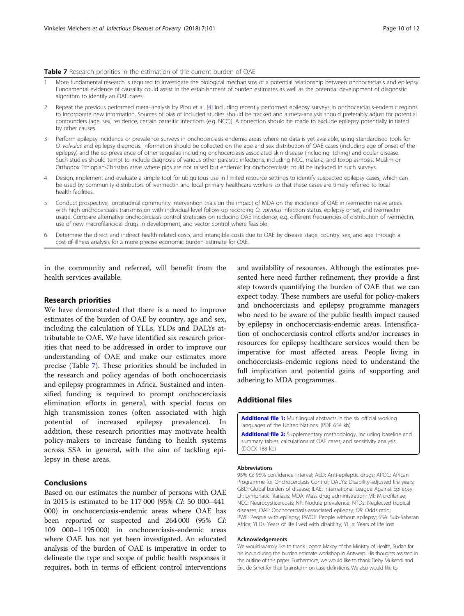## <span id="page-9-0"></span>Table 7 Research priorities in the estimation of the current burden of OAE

- More fundamental research is required to investigate the biological mechanisms of a potential relationship between onchocerciasis and epilepsy. Fundamental evidence of causality could assist in the establishment of burden estimates as well as the potential development of diagnostic algorithm to identify an OAE cases.
- 2 Repeat the previous performed meta–analysis by Pion et al. [\[4](#page-10-0)] including recently performed epilepsy surveys in onchocerciasis-endemic regions to incorporate new information. Sources of bias of included studies should be tracked and a meta-analysis should preferably adjust for potential confounders (age, sex, residence, certain parasitic infections (e.g. NCC)). A correction should be made to exclude epilepsy potentially initiated by other causes.
- Perform epilepsy incidence or prevalence surveys in onchocerciasis-endemic areas where no data is yet available, using standardised tools for O. volvulus and epilepsy diagnosis. Information should be collected on the age and sex distribution of OAE cases (including age of onset of the epilepsy) and the co-prevalence of other sequelae including onchocerciasis associated skin disease (including itching) and ocular disease. Such studies should tempt to include diagnosis of various other parasitic infections, including NCC, malaria, and toxoplasmosis. Muslim or Orthodox Ethiopian-Christian areas where pigs are not raised but endemic for onchocerciasis could be included in such surveys.
- Design, implement and evaluate a simple tool for ubiquitous use in limited resource settings to identify suspected epilepsy cases, which can be used by community distributors of ivermectin and local primary healthcare workers so that these cases are timely referred to local health facilities.
- 5 Conduct prospective, longitudinal community intervention trials on the impact of MDA on the incidence of OAE in ivermectin-naïve areas with high onchocerciasis transmission with individual-level follow-up recording O. volvulus infection status, epilepsy onset, and ivermectin usage. Compare alternative onchocerciasis control strategies on reducing OAE incidence, e.g. different frequencies of distribution of ivermectin, use of new macrofilaricidal drugs in development, and vector control where feasible.
- 6 Determine the direct and indirect health-related costs, and intangible costs due to OAE by disease stage, country, sex, and age through a cost-of-illness analysis for a more precise economic burden estimate for OAE.

in the community and referred, will benefit from the health services available.

## Research priorities

We have demonstrated that there is a need to improve estimates of the burden of OAE by country, age and sex, including the calculation of YLLs, YLDs and DALYs attributable to OAE. We have identified six research priorities that need to be addressed in order to improve our understanding of OAE and make our estimates more precise (Table 7). These priorities should be included in the research and policy agendas of both onchocerciasis and epilepsy programmes in Africa. Sustained and intensified funding is required to prompt onchocerciasis elimination efforts in general, with special focus on high transmission zones (often associated with high potential of increased epilepsy prevalence). In addition, these research priorities may motivate health policy-makers to increase funding to health systems across SSA in general, with the aim of tackling epilepsy in these areas.

## Conclusions

Based on our estimates the number of persons with OAE in 2015 is estimated to be 117 000 (95% CI: 50 000–441 000) in onchocerciasis-endemic areas where OAE has been reported or suspected and 264 000 (95% CI: 109 000–1 195 000) in onchocerciasis-endemic areas where OAE has not yet been investigated. An educated analysis of the burden of OAE is imperative in order to delineate the type and scope of public health responses it requires, both in terms of efficient control interventions

and availability of resources. Although the estimates presented here need further refinement, they provide a first step towards quantifying the burden of OAE that we can expect today. These numbers are useful for policy-makers and onchocerciasis and epilepsy programme managers who need to be aware of the public health impact caused by epilepsy in onchocerciasis-endemic areas. Intensification of onchocerciasis control efforts and/or increases in resources for epilepsy healthcare services would then be imperative for most affected areas. People living in onchocerciasis-endemic regions need to understand the full implication and potential gains of supporting and adhering to MDA programmes.

## Additional files

[Additional file 1:](https://doi.org/10.1186/s40249-018-0481-9) Multilingual abstracts in the six official working languages of the United Nations. (PDF 654 kb)

[Additional file 2:](https://doi.org/10.1186/s40249-018-0481-9) Supplementary methodology, including baseline and summary tables, calculations of OAE cases, and sensitivity analysis. (DOCX 188 kb)

#### Abbreviations

95% CI: 95% confidence interval; AED: Anti-epileptic drugs; APOC: African Programme for Onchocerciasis Control; DALYs: Disability-adjusted life years; GBD: Global burden of disease; ILAE: International League Against Epilepsy; LF: Lymphatic filariasis; MDA: Mass drug administration; Mf: Microfilariae; NCC: Neurocysticercosis; NP: Nodule prevalence; NTDs: Neglected tropical diseases; OAE: Onchocerciasis-associated epilepsy; OR: Odds ratio; PWE: People with epilepsy; PWOE: People without epilepsy; SSA: Sub-Saharan Africa; YLDs: Years of life lived with disability; YLLs: Years of life lost

#### Acknowledgements

We would warmly like to thank Logora Makoy of the Ministry of Health, Sudan for his input during the burden estimate workshop in Antwerp. His thoughts assisted in the outline of this paper. Furthermore, we would like to thank Deby Mukendi and Eric de Smet for their brainstorm on case definitions. We also would like to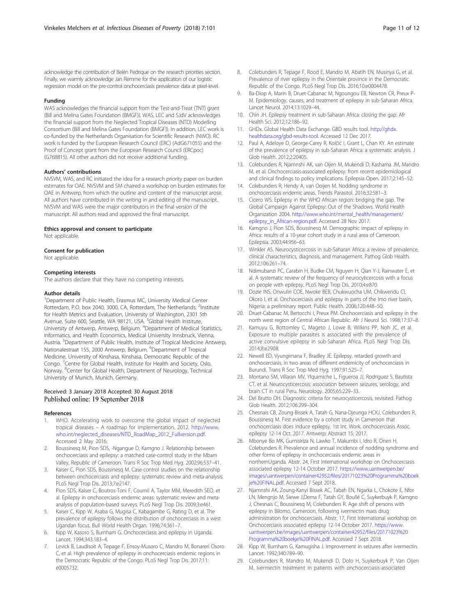<span id="page-10-0"></span>acknowledge the contribution of Belén Pedrique on the research priorities section. Finally, we warmly acknowledge Jan Remme for the application of our logistic regression model on the pre-control onchocerciasis prevalence data at pixel-level.

#### Funding

WAS acknowledges the financial support from the Test-and-Treat (TNT) grant (Bill and Melina Gates Foundation (BMGF)). WAS, LEC and SJdV acknowledges the financial support from the Neglected Tropical Diseases (NTD) Modelling Consortium (Bill and Melina Gates Foundation (BMGF)). In addition, LEC work is co-funded by the Netherlands Organisation for Scientific Research (NWO). RC work is funded by the European Research Council (ERC) (AdG671055) and the Proof of Concept grant from the European Research Council (ERCpoc) (G768815). All other authors did not receive additional funding.

#### Authors' contributions

NVSVM, WAS, and RC initiated the idea for a research priority paper on burden estimates for OAE. NVSVM and SM chaired a workshop on burden estimates for OAE in Antwerp, from which the outline and content of the manuscript arose. All authors have contributed in the writing in and editing of the manuscript. NVSVM and WAS were the major contributors in the final version of the manuscript. All authors read and approved the final manuscript.

#### Ethics approval and consent to participate

Not applicable.

#### Consent for publication

Not applicable.

#### Competing interests

The authors declare that they have no competing interests.

#### Author details

<sup>1</sup>Department of Public Health, Erasmus MC, University Medical Center Rotterdam, P.O. box 2040, 3000, CA, Rotterdam, The Netherlands. <sup>2</sup>Institute for Health Metrics and Evaluation, University of Washington, 2301 5th Avenue, Suite 600, Seattle, WA 98121, USA. <sup>3</sup>Global Health Institute, University of Antwerp, Antwerp, Belgium. <sup>4</sup>Department of Medical Statistics, Informatics, and Health Economics, Medical University Innsbruck, Vienna, Austria. <sup>5</sup>Department of Public Health, Institute of Tropical Medicine Antwerp, Nationalestraat 155, 2000 Antwerp, Belgium. <sup>6</sup>Department of Tropical Medicine, University of Kinshasa, Kinshasa, Democratic Republic of the Congo. <sup>7</sup>Centre for Global Health, Institute for Health and Society, Oslo, Norway. <sup>8</sup>Center for Global Health, Department of Neurology, Technical University of Munich, Munich, Germany.

# Received: 3 January 2018 Accepted: 30 August 2018<br>Published online: 19 September 2018

#### References

- 1. WHO. Accelerating work to overcome the global impact of neglected tropical diseases – A roadmap for implementation. 2012. [http://www.](http://www.who.int/neglected_diseases/NTD_RoadMap_2012_Fullversion.pdf) [who.int/neglected\\_diseases/NTD\\_RoadMap\\_2012\\_Fullversion.pdf](http://www.who.int/neglected_diseases/NTD_RoadMap_2012_Fullversion.pdf). Accessed 2 May 2016.
- 2. Boussinesq M, Pion SDS, -Ngangue D, Kamgno J. Relationship between onchocerciasis and epilepsy: a matched case-control study in the Mbam Valley, Republic of Cameroon. Trans R Soc Trop Med Hyg. 2002;96:537–41.
- 3. Kaiser C, Pion SDS, Boussinesq M. Case-control studies on the relationship between onchocerciasis and epilepsy: systematic review and meta-analysis. PLoS Negl Trop Dis. 2013;7:e2147.
- 4. Pion SDS, Kaiser C, Boutros-Toni F, Cournil A, Taylor MM, Meredith SEO, et al. Epilepsy in onchocerciasis endemic areas: systematic review and metaanalysis of population-based surveys. PLoS Negl Trop Dis. 2009;3:e461.
- 5. Kaiser C, Kipp W, Asaba G, Mugisa C, Kabagambe G, Rating D, et al. The prevalence of epilepsy follows the distribution of onchocerciasis in a west Ugandan focus. Bull World Health Organ. 1996;74:361–7.
- 6. Kipp W, Kasoro S, Burnham G. Onchocerciasis and epilepsy in Uganda. Lancet. 1994;343:183–4.
- Levick B, Laudisoit A, Tepage F, Ensoy-Musoro C, Mandro M, Bonareri Osoro C, et al. High prevalence of epilepsy in onchocerciasis endemic regions in the Democratic Republic of the Congo. PLoS Negl Trop Dis. 2017;11: e0005732.
- 8. Colebunders R, Tepage F, Rood E, Mandro M, Abatih EN, Musinya G, et al. Prevalence of river epilepsy in the Orientale province in the Democratic Republic of the Congo. PLoS Negl Trop Dis. 2016;10:e0004478.
- Ba-Diop A, Marin B, Druet-Cabanac M, Ngoungou EB, Newton CR, Preux P-M. Epidemiology, causes, and treatment of epilepsy in sub-Saharan Africa. Lancet Neurol. 2014;13:1029–44.
- 10. Chin JH. Epilepsy treatment in sub-Saharan Africa: closing the gap. Afr Health Sci. 2012;12:186–92.
- 11. GHDx, Global Health Data Exchange. GBD results tool. [http://ghdx.](http://ghdx.healthdata.org/gbd-results-tool) [healthdata.org/gbd-results-tool](http://ghdx.healthdata.org/gbd-results-tool). Accessed 12 Dec 2017.
- 12. Paul A, Adeloye D, George-Carey R, Kolčić I, Grant L, Chan KY. An estimate of the prevalence of epilepsy in sub-Saharan Africa: a systematic analysis. J Glob Health. 2012;2:20405.
- 13. Colebunders R, Njamnshi AK, van Oijen M, Mukendi D, Kashama JM, Mandro M, et al. Onchocerciasis-associated epilepsy: from recent epidemiological and clinical findings to policy implications. Epilepsia Open. 2017;2:145–52.
- 14. Colebunders R, Hendy A, van Ooijen M. Nodding syndrome in onchocerciasis endemic areas. Trends Parasitol. 2016;32:581–3.
- 15. Cicero WS. Epilepsy in the WHO African region: bridging the gap. The Global Campaign Against Epilepsy: Out of the Shadows. World Health Organization 2004. [http://www.who.int/mental\\_health/management/](http://www.who.int/mental_health/management/epilepsy_in_African-region.pdf) [epilepsy\\_in\\_African-region.pdf](http://www.who.int/mental_health/management/epilepsy_in_African-region.pdf). Accessed 28 Nov 2017.
- 16. Kamgno J, Pion SDS, Boussinesq M. Demographic impact of epilepsy in Africa: results of a 10-year cohort study in a rural area of Cameroon. Epilepsia. 2003;44:956–63.
- 17. Winkler AS. Neurocysticercosis in sub-Saharan Africa: a review of prevalence, clinical characteristics, diagnosis, and management. Pathog Glob Health. 2012;106:261–74.
- 18. Ndimubanzi PC, Carabin H, Budke CM, Nguyen H, Qian Y-J, Rainwater E, et al. A systematic review of the frequency of neurocyticercosis with a focus on people with epilepsy. PLoS Negl Trop Dis. 2010;4:e870.
- 19. Dozie INS, Onwuliri COE, Nwoke BEB, Chukwuocha UM, Chikwendu CI, Okoro I, et al. Onchocerciasis and epilepsy in parts of the Imo river basin, Nigeria: a preliminary report. Public Health. 2006;120:448–50.
- 20. Druet-Cabanac M, Bertocchi I, Preux PM. Onchocerciasis and epilepsy in the north west region of Central African Republic. Afr J Neurol Sci. 1998;17:37–8.
- 21. Kamuyu G, Bottomley C, Mageto J, Lowe B, Wilkins PP, Noh JC, et al. Exposure to multiple parasites is associated with the prevalence of active convulsive epilepsy in sub-Saharan Africa. PLoS Negl Trop Dis. 2014;8:e2908.
- 22. Newell ED, Vyungimana F, Bradley JE. Epilepsy, retarded growth and onchocerciasis, in two areas of different endemicity of onchocerciasis in Burundi. Trans R Soc Trop Med Hyg. 1997;91:525–7.
- 23. Montano SM, Villaran MV, Ylquimiche L, Figueroa JJ, Rodriguez S, Bautista CT, et al. Neurocysticercosis: association between seizures, serology, and brain CT in rural Peru. Neurology. 2005;65:229–33.
- 24. Del Brutto OH. Diagnostic criteria for neurocysticercosis, revisited. Pathog Glob Health. 2012;106:299–304.
- 25. Chesnais CB, Zoung-Bissek A, Tatah G, Nana-Djeunga HCKJ, Colebunders R, Boussinesq M. First evidence by a cohort study in Cameroon that onchocerciasis does induce epilepsy. 1st Int. Work. onchocerciasis Assoc. epilepsy 12-14 Oct. 2017. Antwerp: Abstract 15; 2017.
- 26. Mbonye Bo MK, Gumisiriza N, Lawko T, Makumbi I, Idro R, Onen H, Colebunders R. Prevalence and annual incidence of nodding syndrome and other forms of epilepsy in onchocerciasis endemic areas in northernUganda. Abstr. 24, First International workshop on Onchocerciasis associated epilepsy 12-14 October 2017. [https://www.uantwerpen.be/](https://www.uantwerpen.be/images/uantwerpen/container42952/files/20171023%20Programma%20boekje%20FINAL.pdf) [images/uantwerpen/container42952/files/20171023%20Programma%20boek](https://www.uantwerpen.be/images/uantwerpen/container42952/files/20171023%20Programma%20boekje%20FINAL.pdf) [je%20FINAL.pdf](https://www.uantwerpen.be/images/uantwerpen/container42952/files/20171023%20Programma%20boekje%20FINAL.pdf). Accessed 7 Sept 2018.
- 27. Njamnshi AK, Zoung-Kanyi Bissek AC, Tabah EN, Ngarka L, Chokote E, Nfor LN, Mengnjo M, Siewe J,Dema F, Tatah GY, Boullé C, Suykerbuyk P, Kamgno J, Chesnais C, Boussinesq M, Colebunders R. Age shift of persons with epilepsy in Bilomo, Cameroon, following ivermectin mass drug administration for onchocerciasis. Abstr. 17, First International workshop on Onchocerciasis associated epilepsy 12-14 October 2017. [https://www.](https://www.uantwerpen.be/images/uantwerpen/container42952/files/20171023%20Programma%20boekje%20FINAL.pdf) [uantwerpen.be/images/uantwerpen/container42952/files/20171023%20](https://www.uantwerpen.be/images/uantwerpen/container42952/files/20171023%20Programma%20boekje%20FINAL.pdf) [Programma%20boekje%20FINAL.pdf](https://www.uantwerpen.be/images/uantwerpen/container42952/files/20171023%20Programma%20boekje%20FINAL.pdf). Accessed 7 Sept 2018.
- 28. Kipp W, Burnham G, Kamugisha J. Improvement in seizures after ivermectin. Lancet. 1992;340:789–90.
- 29. Colebunders R, Mandro M, Mukendi D, Dolo H, Suykerbuyk P, Van Oijen M. Ivermectin treatment in patients with onchocerciasis-associated